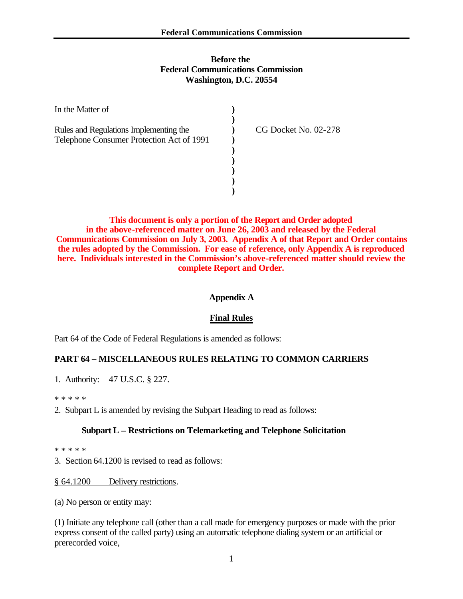### **Before the Federal Communications Commission Washington, D.C. 20554**

| In the Matter of                          |                      |
|-------------------------------------------|----------------------|
| Rules and Regulations Implementing the    | CG Docket No. 02-278 |
| Telephone Consumer Protection Act of 1991 |                      |
|                                           |                      |
|                                           |                      |
|                                           |                      |
|                                           |                      |
|                                           |                      |

**This document is only a portion of the Report and Order adopted in the above-referenced matter on June 26, 2003 and released by the Federal Communications Commission on July 3, 2003. Appendix A of that Report and Order contains the rules adopted by the Commission. For ease of reference, only Appendix A is reproduced here. Individuals interested in the Commission's above-referenced matter should review the complete Report and Order.** 

## **Appendix A**

### **Final Rules**

Part 64 of the Code of Federal Regulations is amended as follows:

### **PART 64 – MISCELLANEOUS RULES RELATING TO COMMON CARRIERS**

- 1. Authority: 47 U.S.C. § 227.
- \* \* \* \* \*
- 2. Subpart L is amended by revising the Subpart Heading to read as follows:

### **Subpart L – Restrictions on Telemarketing and Telephone Solicitation**

\* \* \* \* \*

3. Section 64.1200 is revised to read as follows:

§ 64.1200 Delivery restrictions.

(a) No person or entity may:

(1) Initiate any telephone call (other than a call made for emergency purposes or made with the prior express consent of the called party) using an automatic telephone dialing system or an artificial or prerecorded voice,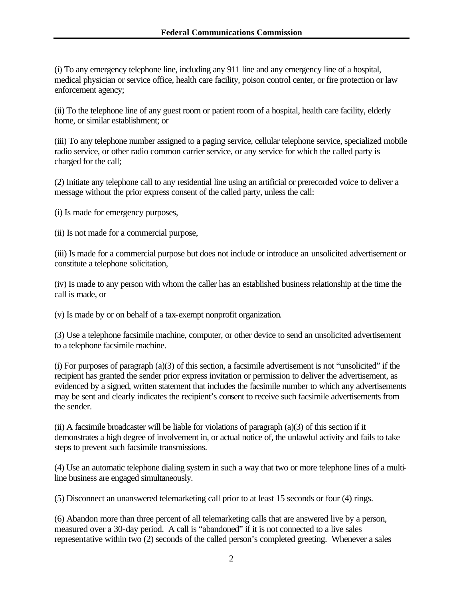(i) To any emergency telephone line, including any 911 line and any emergency line of a hospital, medical physician or service office, health care facility, poison control center, or fire protection or law enforcement agency;

(ii) To the telephone line of any guest room or patient room of a hospital, health care facility, elderly home, or similar establishment; or

(iii) To any telephone number assigned to a paging service, cellular telephone service, specialized mobile radio service, or other radio common carrier service, or any service for which the called party is charged for the call;

(2) Initiate any telephone call to any residential line using an artificial or prerecorded voice to deliver a message without the prior express consent of the called party, unless the call:

(i) Is made for emergency purposes,

(ii) Is not made for a commercial purpose,

(iii) Is made for a commercial purpose but does not include or introduce an unsolicited advertisement or constitute a telephone solicitation,

(iv) Is made to any person with whom the caller has an established business relationship at the time the call is made, or

(v) Is made by or on behalf of a tax-exempt nonprofit organization.

(3) Use a telephone facsimile machine, computer, or other device to send an unsolicited advertisement to a telephone facsimile machine.

(i) For purposes of paragraph (a)(3) of this section, a facsimile advertisement is not "unsolicited" if the recipient has granted the sender prior express invitation or permission to deliver the advertisement, as evidenced by a signed, written statement that includes the facsimile number to which any advertisements may be sent and clearly indicates the recipient's consent to receive such facsimile advertisements from the sender.

(ii) A facsimile broadcaster will be liable for violations of paragraph  $(a)(3)$  of this section if it demonstrates a high degree of involvement in, or actual notice of, the unlawful activity and fails to take steps to prevent such facsimile transmissions.

(4) Use an automatic telephone dialing system in such a way that two or more telephone lines of a multiline business are engaged simultaneously.

(5) Disconnect an unanswered telemarketing call prior to at least 15 seconds or four (4) rings.

(6) Abandon more than three percent of all telemarketing calls that are answered live by a person, measured over a 30-day period. A call is "abandoned" if it is not connected to a live sales representative within two (2) seconds of the called person's completed greeting. Whenever a sales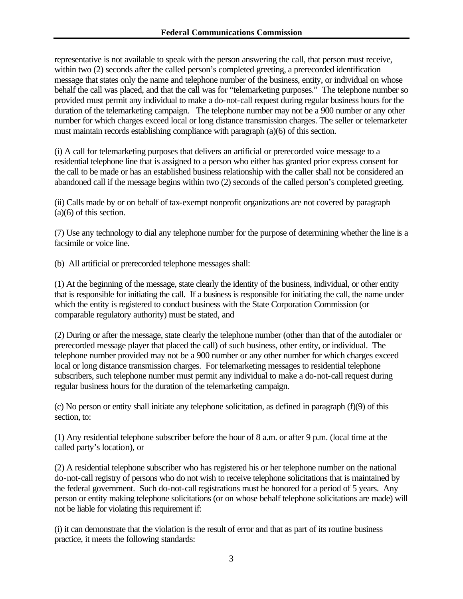representative is not available to speak with the person answering the call, that person must receive, within two (2) seconds after the called person's completed greeting, a prerecorded identification message that states only the name and telephone number of the business, entity, or individual on whose behalf the call was placed, and that the call was for "telemarketing purposes." The telephone number so provided must permit any individual to make a do-not-call request during regular business hours for the duration of the telemarketing campaign. The telephone number may not be a 900 number or any other number for which charges exceed local or long distance transmission charges. The seller or telemarketer must maintain records establishing compliance with paragraph (a)(6) of this section.

(i) A call for telemarketing purposes that delivers an artificial or prerecorded voice message to a residential telephone line that is assigned to a person who either has granted prior express consent for the call to be made or has an established business relationship with the caller shall not be considered an abandoned call if the message begins within two (2) seconds of the called person's completed greeting.

(ii) Calls made by or on behalf of tax-exempt nonprofit organizations are not covered by paragraph (a)(6) of this section.

(7) Use any technology to dial any telephone number for the purpose of determining whether the line is a facsimile or voice line.

(b) All artificial or prerecorded telephone messages shall:

(1) At the beginning of the message, state clearly the identity of the business, individual, or other entity that is responsible for initiating the call. If a business is responsible for initiating the call, the name under which the entity is registered to conduct business with the State Corporation Commission (or comparable regulatory authority) must be stated, and

(2) During or after the message, state clearly the telephone number (other than that of the autodialer or prerecorded message player that placed the call) of such business, other entity, or individual. The telephone number provided may not be a 900 number or any other number for which charges exceed local or long distance transmission charges. For telemarketing messages to residential telephone subscribers, such telephone number must permit any individual to make a do-not-call request during regular business hours for the duration of the telemarketing campaign.

(c) No person or entity shall initiate any telephone solicitation, as defined in paragraph (f)(9) of this section, to:

(1) Any residential telephone subscriber before the hour of 8 a.m. or after 9 p.m. (local time at the called party's location), or

(2) A residential telephone subscriber who has registered his or her telephone number on the national do-not-call registry of persons who do not wish to receive telephone solicitations that is maintained by the federal government. Such do-not-call registrations must be honored for a period of 5 years. Any person or entity making telephone solicitations (or on whose behalf telephone solicitations are made) will not be liable for violating this requirement if:

(i) it can demonstrate that the violation is the result of error and that as part of its routine business practice, it meets the following standards: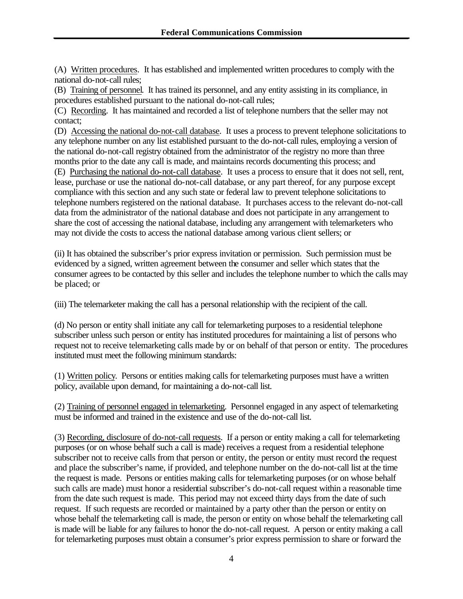(A) Written procedures. It has established and implemented written procedures to comply with the national do-not-call rules;

(B) Training of personnel. It has trained its personnel, and any entity assisting in its compliance, in procedures established pursuant to the national do-not-call rules;

(C) Recording. It has maintained and recorded a list of telephone numbers that the seller may not contact;

(D)Accessing the national do-not-call database. It uses a process to prevent telephone solicitations to any telephone number on any list established pursuant to the do-not-call rules, employing a version of the national do-not-call registry obtained from the administrator of the registry no more than three months prior to the date any call is made, and maintains records documenting this process; and (E) Purchasing the national do-not-call database. It uses a process to ensure that it does not sell, rent, lease, purchase or use the national do-not-call database, or any part thereof, for any purpose except compliance with this section and any such state or federal law to prevent telephone solicitations to telephone numbers registered on the national database. It purchases access to the relevant do-not-call data from the administrator of the national database and does not participate in any arrangement to share the cost of accessing the national database, including any arrangement with telemarketers who may not divide the costs to access the national database among various client sellers; or

(ii) It has obtained the subscriber's prior express invitation or permission. Such permission must be evidenced by a signed, written agreement between the consumer and seller which states that the consumer agrees to be contacted by this seller and includes the telephone number to which the calls may be placed; or

(iii) The telemarketer making the call has a personal relationship with the recipient of the call.

(d) No person or entity shall initiate any call for telemarketing purposes to a residential telephone subscriber unless such person or entity has instituted procedures for maintaining a list of persons who request not to receive telemarketing calls made by or on behalf of that person or entity. The procedures instituted must meet the following minimum standards:

(1) Written policy. Persons or entities making calls for telemarketing purposes must have a written policy, available upon demand, for maintaining a do-not-call list.

(2) Training of personnel engaged in telemarketing. Personnel engaged in any aspect of telemarketing must be informed and trained in the existence and use of the do-not-call list.

(3) Recording, disclosure of do-not-call requests. If a person or entity making a call for telemarketing purposes (or on whose behalf such a call is made) receives a request from a residential telephone subscriber not to receive calls from that person or entity, the person or entity must record the request and place the subscriber's name, if provided, and telephone number on the do-not-call list at the time the request is made. Persons or entities making calls for telemarketing purposes (or on whose behalf such calls are made) must honor a residential subscriber's do-not-call request within a reasonable time from the date such request is made. This period may not exceed thirty days from the date of such request. If such requests are recorded or maintained by a party other than the person or entity on whose behalf the telemarketing call is made, the person or entity on whose behalf the telemarketing call is made will be liable for any failures to honor the do-not-call request. A person or entity making a call for telemarketing purposes must obtain a consumer's prior express permission to share or forward the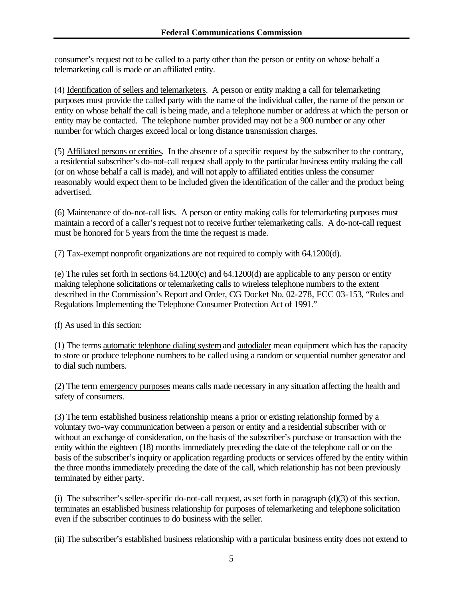consumer's request not to be called to a party other than the person or entity on whose behalf a telemarketing call is made or an affiliated entity.

(4) Identification of sellers and telemarketers. A person or entity making a call for telemarketing purposes must provide the called party with the name of the individual caller, the name of the person or entity on whose behalf the call is being made, and a telephone number or address at which the person or entity may be contacted. The telephone number provided may not be a 900 number or any other number for which charges exceed local or long distance transmission charges.

(5) Affiliated persons or entities. In the absence of a specific request by the subscriber to the contrary, a residential subscriber's do-not-call request shall apply to the particular business entity making the call (or on whose behalf a call is made), and will not apply to affiliated entities unless the consumer reasonably would expect them to be included given the identification of the caller and the product being advertised.

(6) Maintenance of do-not-call lists. A person or entity making calls for telemarketing purposes must maintain a record of a caller's request not to receive further telemarketing calls. A do-not-call request must be honored for 5 years from the time the request is made.

(7) Tax-exempt nonprofit organizations are not required to comply with 64.1200(d).

(e) The rules set forth in sections 64.1200(c) and 64.1200(d) are applicable to any person or entity making telephone solicitations or telemarketing calls to wireless telephone numbers to the extent described in the Commission's Report and Order, CG Docket No. 02-278, FCC 03-153, "Rules and Regulations Implementing the Telephone Consumer Protection Act of 1991."

(f) As used in this section:

(1) The terms automatic telephone dialing system and autodialer mean equipment which has the capacity to store or produce telephone numbers to be called using a random or sequential number generator and to dial such numbers.

(2) The term emergency purposes means calls made necessary in any situation affecting the health and safety of consumers.

(3) The term established business relationship means a prior or existing relationship formed by a voluntary two-way communication between a person or entity and a residential subscriber with or without an exchange of consideration, on the basis of the subscriber's purchase or transaction with the entity within the eighteen (18) months immediately preceding the date of the telephone call or on the basis of the subscriber's inquiry or application regarding products or services offered by the entity within the three months immediately preceding the date of the call, which relationship has not been previously terminated by either party.

(i) The subscriber's seller-specific do-not-call request, as set forth in paragraph (d)(3) of this section, terminates an established business relationship for purposes of telemarketing and telephone solicitation even if the subscriber continues to do business with the seller.

(ii) The subscriber's established business relationship with a particular business entity does not extend to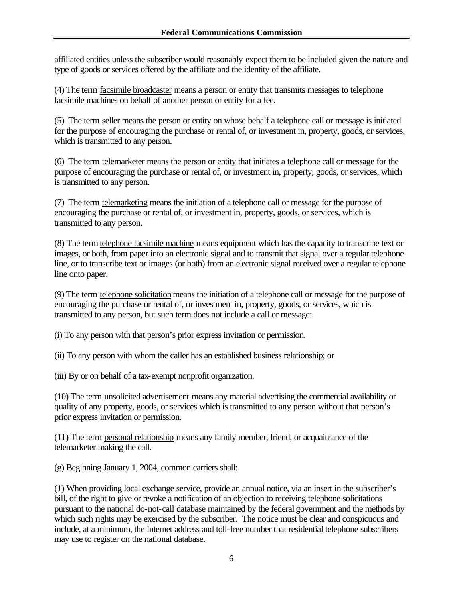affiliated entities unless the subscriber would reasonably expect them to be included given the nature and type of goods or services offered by the affiliate and the identity of the affiliate.

(4) The term facsimile broadcaster means a person or entity that transmits messages to telephone facsimile machines on behalf of another person or entity for a fee.

(5) The term seller means the person or entity on whose behalf a telephone call or message is initiated for the purpose of encouraging the purchase or rental of, or investment in, property, goods, or services, which is transmitted to any person.

(6) The term telemarketer means the person or entity that initiates a telephone call or message for the purpose of encouraging the purchase or rental of, or investment in, property, goods, or services, which is transmitted to any person.

(7) The term telemarketing means the initiation of a telephone call or message for the purpose of encouraging the purchase or rental of, or investment in, property, goods, or services, which is transmitted to any person.

(8) The term telephone facsimile machine means equipment which has the capacity to transcribe text or images, or both, from paper into an electronic signal and to transmit that signal over a regular telephone line, or to transcribe text or images (or both) from an electronic signal received over a regular telephone line onto paper.

(9) The term telephone solicitation means the initiation of a telephone call or message for the purpose of encouraging the purchase or rental of, or investment in, property, goods, or services, which is transmitted to any person, but such term does not include a call or message:

(i) To any person with that person's prior express invitation or permission.

(ii) To any person with whom the caller has an established business relationship; or

(iii) By or on behalf of a tax-exempt nonprofit organization.

(10) The term unsolicited advertisement means any material advertising the commercial availability or quality of any property, goods, or services which is transmitted to any person without that person's prior express invitation or permission.

(11) The term personal relationship means any family member, friend, or acquaintance of the telemarketer making the call.

(g) Beginning January 1, 2004, common carriers shall:

(1) When providing local exchange service, provide an annual notice, via an insert in the subscriber's bill, of the right to give or revoke a notification of an objection to receiving telephone solicitations pursuant to the national do-not-call database maintained by the federal government and the methods by which such rights may be exercised by the subscriber. The notice must be clear and conspicuous and include, at a minimum, the Internet address and toll-free number that residential telephone subscribers may use to register on the national database.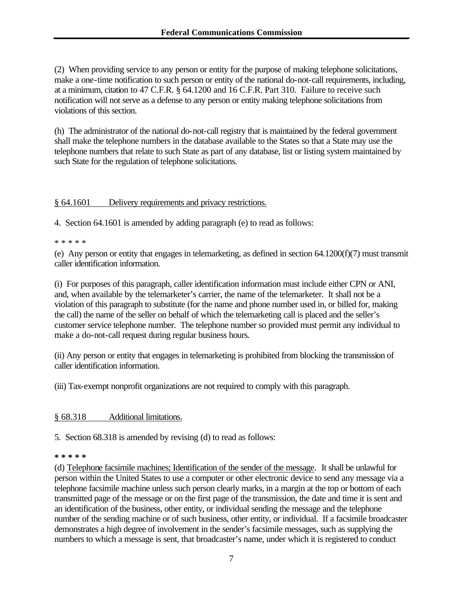(2) When providing service to any person or entity for the purpose of making telephone solicitations, make a one-time notification to such person or entity of the national do-not-call requirements, including, at a minimum, citation to 47 C.F.R. § 64.1200 and 16 C.F.R. Part 310. Failure to receive such notification will not serve as a defense to any person or entity making telephone solicitations from violations of this section.

(h) The administrator of the national do-not-call registry that is maintained by the federal government shall make the telephone numbers in the database available to the States so that a State may use the telephone numbers that relate to such State as part of any database, list or listing system maintained by such State for the regulation of telephone solicitations.

# § 64.1601 Delivery requirements and privacy restrictions.

4. Section 64.1601 is amended by adding paragraph (e) to read as follows:

\* \* \* \* \*

(e) Any person or entity that engages in telemarketing, as defined in section 64.1200(f)(7) must transmit caller identification information.

(i) For purposes of this paragraph, caller identification information must include either CPN or ANI, and, when available by the telemarketer's carrier, the name of the telemarketer. It shall not be a violation of this paragraph to substitute (for the name and phone number used in, or billed for, making the call) the name of the seller on behalf of which the telemarketing call is placed and the seller's customer service telephone number. The telephone number so provided must permit any individual to make a do-not-call request during regular business hours.

(ii) Any person or entity that engages in telemarketing is prohibited from blocking the transmission of caller identification information.

(iii) Tax-exempt nonprofit organizations are not required to comply with this paragraph.

§ 68.318 Additional limitations.

5. Section 68.318 is amended by revising (d) to read as follows:

#### **\* \* \* \* \***

(d) Telephone facsimile machines; Identification of the sender of the message*.* It shall be unlawful for person within the United States to use a computer or other electronic device to send any message via a telephone facsimile machine unless such person clearly marks, in a margin at the top or bottom of each transmitted page of the message or on the first page of the transmission, the date and time it is sent and an identification of the business, other entity, or individual sending the message and the telephone number of the sending machine or of such business, other entity, or individual. If a facsimile broadcaster demonstrates a high degree of involvement in the sender's facsimile messages, such as supplying the numbers to which a message is sent, that broadcaster's name, under which it is registered to conduct